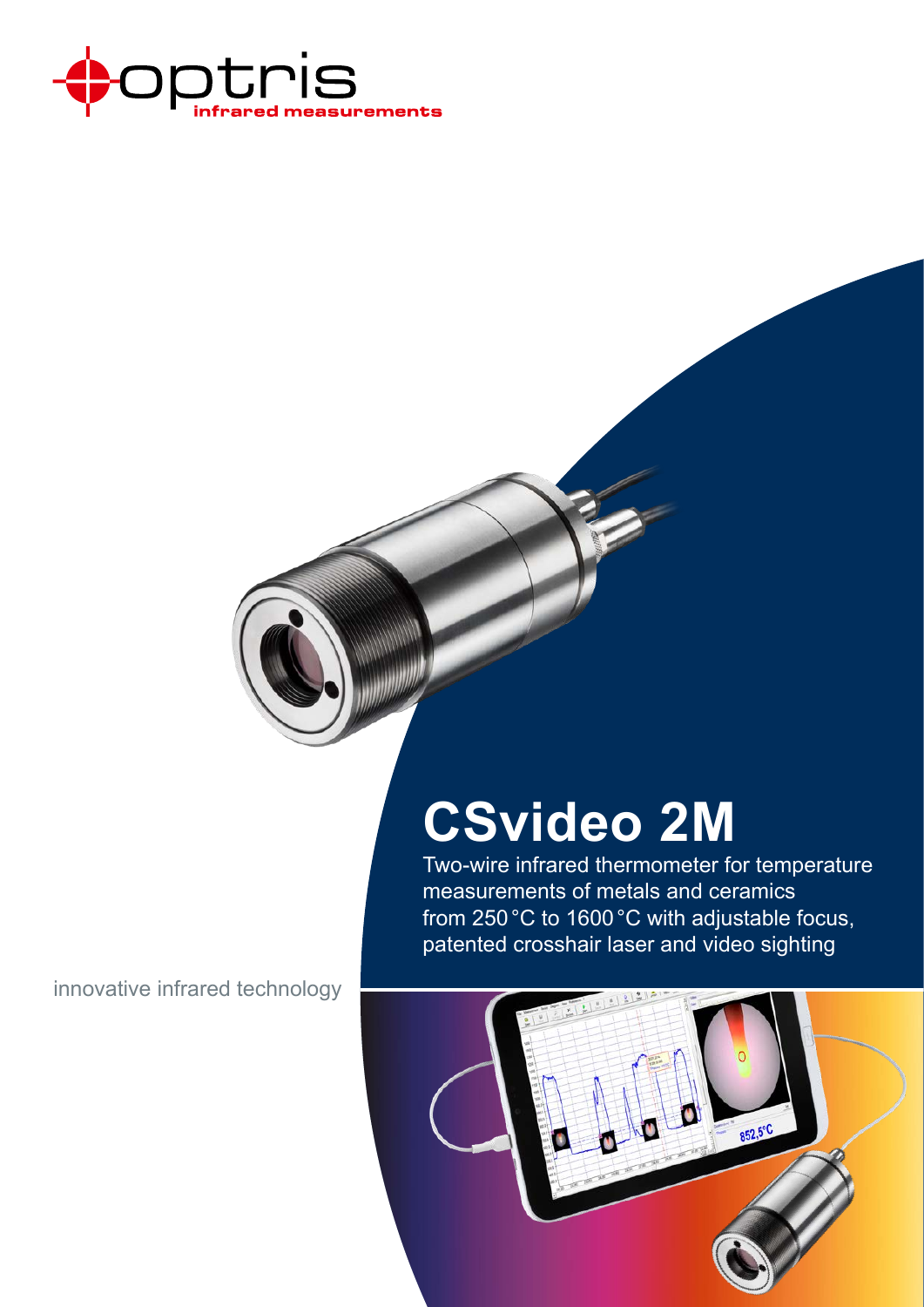

# **CSvideo 2M**

Two-wire infrared thermometer for temperature measurements of metals and ceramics from 250°C to 1600°C with adjustable focus, patented crosshair laser and video sighting

innovative infrared technology

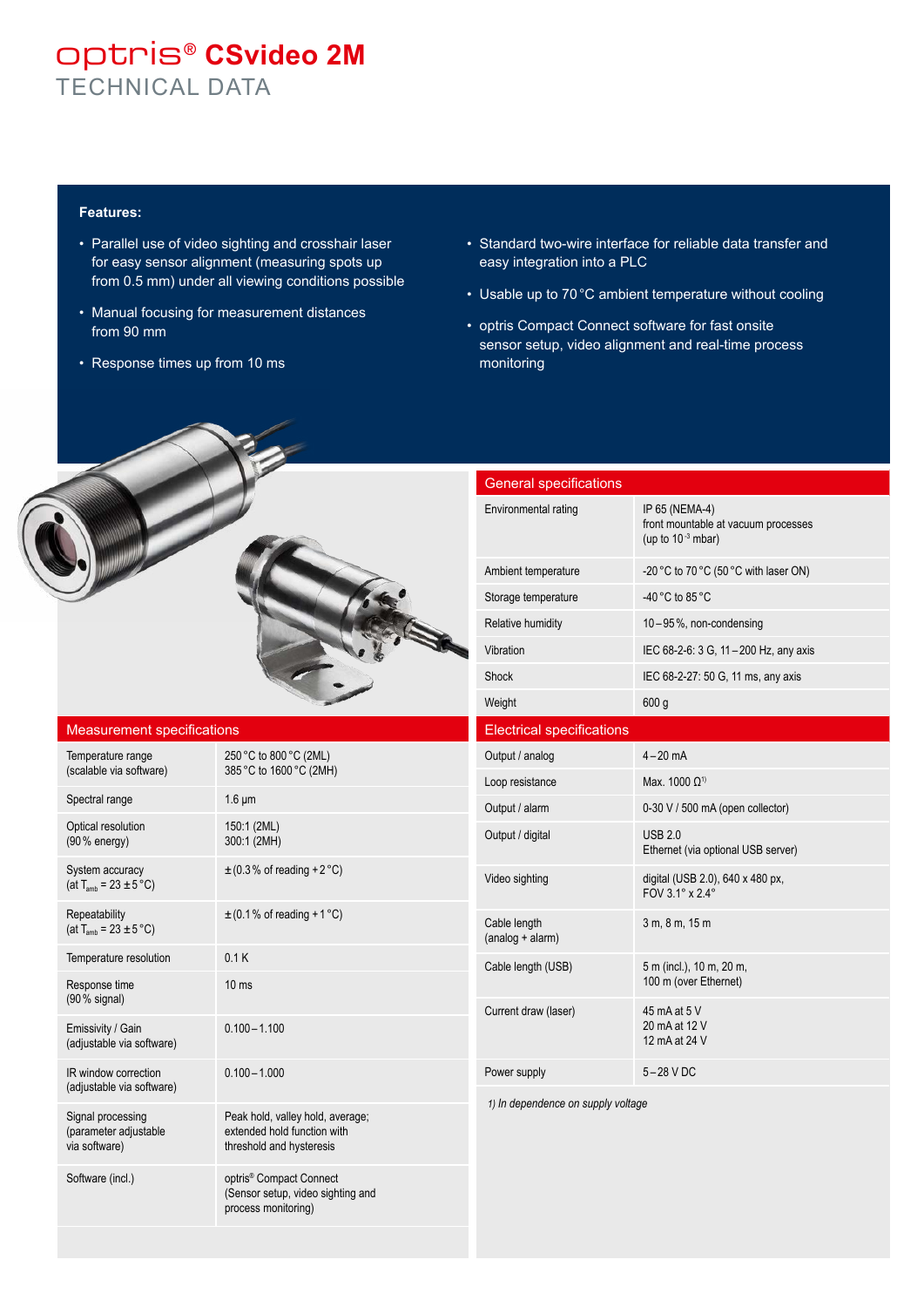### optris® **CSvideo 2M** TECHNICAL DATA

#### **Features:**

- Parallel use of video sighting and crosshair laser for easy sensor alignment (measuring spots up from 0.5 mm) under all viewing conditions possible
- Manual focusing for measurement distances from 90 mm
- Response times up from 10 ms
- Standard two-wire interface for reliable data transfer and easy integration into a PLC
- Usable up to 70°C ambient temperature without cooling
- optris Compact Connect software for fast onsite sensor setup, video alignment and real-time process monitoring

| <b>General specifications</b>      |                                                                                 |  |  |  |  |  |  |  |
|------------------------------------|---------------------------------------------------------------------------------|--|--|--|--|--|--|--|
| Environmental rating               | IP 65 (NEMA-4)<br>front mountable at vacuum processes<br>(up to $10^{-3}$ mbar) |  |  |  |  |  |  |  |
| Ambient temperature                | -20 °C to 70 °C (50 °C with laser ON)                                           |  |  |  |  |  |  |  |
| Storage temperature                | -40 °C to 85 °C                                                                 |  |  |  |  |  |  |  |
| Relative humidity                  | 10-95%, non-condensing                                                          |  |  |  |  |  |  |  |
| Vibration                          | IEC 68-2-6: 3 G, 11-200 Hz, any axis                                            |  |  |  |  |  |  |  |
| Shock                              | IEC 68-2-27: 50 G, 11 ms, any axis                                              |  |  |  |  |  |  |  |
| Weight                             | 600 <sub>g</sub>                                                                |  |  |  |  |  |  |  |
| <b>Electrical specifications</b>   |                                                                                 |  |  |  |  |  |  |  |
| Output / analog                    | $4 - 20$ mA                                                                     |  |  |  |  |  |  |  |
| Loop resistance                    | Max. 1000 Ω <sup>1)</sup>                                                       |  |  |  |  |  |  |  |
| Output / alarm                     | 0-30 V / 500 mA (open collector)                                                |  |  |  |  |  |  |  |
| Output / digital                   | USB 2.0<br>Ethernet (via optional USB server)                                   |  |  |  |  |  |  |  |
| Video sighting                     | digital (USB 2.0), 640 x 480 px,<br>FOV 3.1° x 2.4°                             |  |  |  |  |  |  |  |
| Cable length<br>$(analog + alarm)$ | 3 m, 8 m, 15 m                                                                  |  |  |  |  |  |  |  |
| Cable length (USB)                 | 5 m (incl.), 10 m, 20 m,<br>100 m (over Ethernet)                               |  |  |  |  |  |  |  |
| Current draw (laser)               | 45 mA at 5 V<br>20 mA at 12 V<br>12 mA at 24 V                                  |  |  |  |  |  |  |  |
| Power supply                       | $5-28$ V DC                                                                     |  |  |  |  |  |  |  |
| 1) In dependence on supply voltage |                                                                                 |  |  |  |  |  |  |  |

## Measurement specifications

| Temperature range<br>(scalable via software)                          | 250 °C to 800 °C (2ML)<br>385 °C to 1600 °C (2MH)                                               |
|-----------------------------------------------------------------------|-------------------------------------------------------------------------------------------------|
| Spectral range                                                        | $1.6 \mu m$                                                                                     |
| Optical resolution<br>$(90%$ energy)                                  | 150:1 (2ML)<br>300:1 (2MH)                                                                      |
| System accuracy<br>(at $T_{\text{amb}} = 23 \pm 5^{\circ} \text{C}$ ) | $\pm$ (0.3% of reading + 2 °C)                                                                  |
| Repeatability<br>(at $T_{\text{amb}}$ = 23 $\pm$ 5 °C)                | $\pm$ (0.1% of reading + 1 °C)                                                                  |
| Temperature resolution                                                | 0.1K                                                                                            |
| Response time<br>$(90\%$ signal)                                      | 10 <sub>ms</sub>                                                                                |
| Emissivity / Gain<br>(adjustable via software)                        | $0.100 - 1.100$                                                                                 |
| IR window correction<br>(adjustable via software)                     | $0.100 - 1.000$                                                                                 |
| Signal processing<br>(parameter adjustable<br>via software)           | Peak hold, valley hold, average;<br>extended hold function with<br>threshold and hysteresis     |
| Software (incl.)                                                      | optris <sup>®</sup> Compact Connect<br>(Sensor setup, video sighting and<br>process monitoring) |
|                                                                       |                                                                                                 |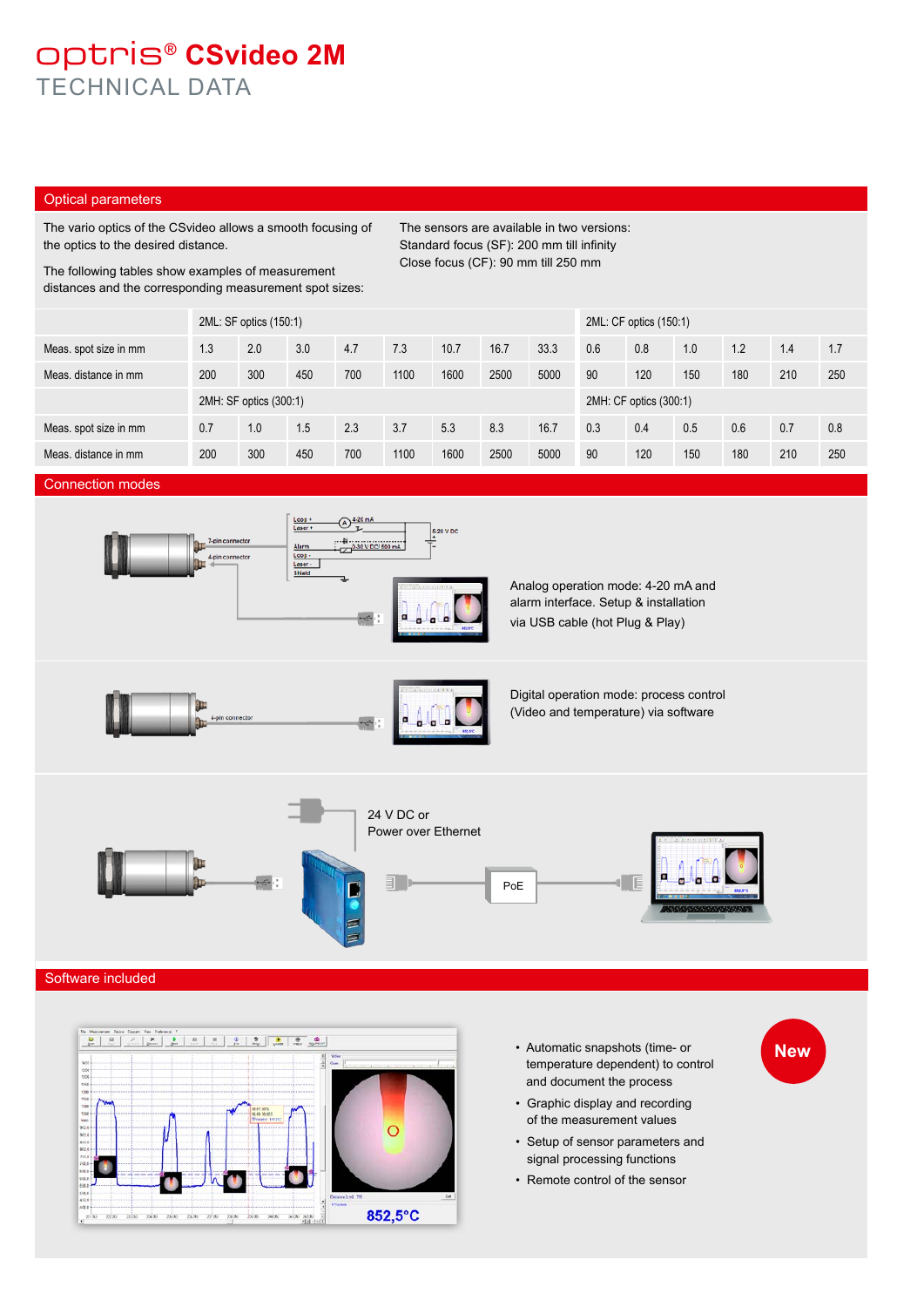### optris® **CSvideo 2M** TECHNICAL DATA

### Optical parameters

The vario optics of the CSvideo allows a smooth focusing of the optics to the desired distance.

Standard focus (SF): 200 mm till infinity Close focus (CF): 90 mm till 250 mm

The sensors are available in two versions:

The following tables show examples of measurement distances and the corresponding measurement spot sizes:

|                       | 2ML: SF optics (150:1) |     |     |     |      |      |      | 2ML: CF optics (150:1) |     |     |     |     |     |     |
|-----------------------|------------------------|-----|-----|-----|------|------|------|------------------------|-----|-----|-----|-----|-----|-----|
| Meas. spot size in mm | 1.3                    | 2.0 | 3.0 | 4.7 | 7.3  | 10.7 | 16.7 | 33.3                   | 0.6 | 0.8 | 1.0 | 1.2 | 1.4 | 1.7 |
| Meas, distance in mm  | 200                    | 300 | 450 | 700 | 1100 | 1600 | 2500 | 5000                   | 90  | 120 | 150 | 180 | 210 | 250 |
|                       | 2MH: SF optics (300:1) |     |     |     |      |      |      | 2MH: CF optics (300:1) |     |     |     |     |     |     |
| Meas. spot size in mm | 0.7                    | 1.0 | 1.5 | 2.3 | 3.7  | 5.3  | 8.3  | 16.7                   | 0.3 | 0.4 | 0.5 | 0.6 | 0.7 | 0.8 |
| Meas, distance in mm  | 200                    | 300 | 450 | 700 | 1100 | 1600 | 2500 | 5000                   | 90  | 120 | 150 | 180 | 210 | 250 |

#### Connection modes



#### Software included



• Automatic snapshots (time- or temperature dependent) to control and document the process

**New**

- Graphic display and recording of the measurement values
- Setup of sensor parameters and signal processing functions
- Remote control of the sensor